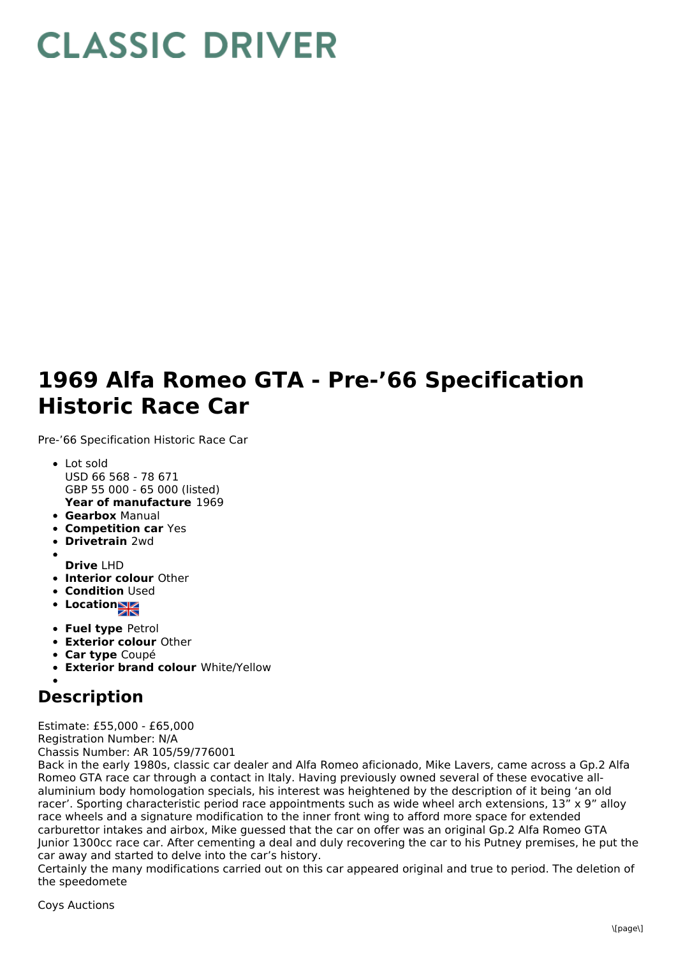## **CLASSIC DRIVER**

## **1969 Alfa Romeo GTA - Pre-'66 Specification Historic Race Car**

Pre-'66 Specification Historic Race Car

- **Year of manufacture** 1969 Lot sold USD 66 568 - 78 671 GBP 55 000 - 65 000 (listed)
- **Gearbox** Manual
- **Competition car** Yes
- **Drivetrain** 2wd
- **Drive** LHD
- **Interior colour** Other
- **Condition Used**
- Location<sub>ak</sub>
- **Fuel type** Petrol
- **Exterior colour** Other
- **Car type** Coupé
- **Exterior brand colour** White/Yellow

## **Description**

Estimate: £55,000 - £65,000 Registration Number: N/A Chassis Number: AR 105/59/776001

Back in the early 1980s, classic car dealer and Alfa Romeo aficionado, Mike Lavers, came across a Gp.2 Alfa Romeo GTA race car through a contact in Italy. Having previously owned several of these evocative allaluminium body homologation specials, his interest was heightened by the description of it being 'an old racer'. Sporting characteristic period race appointments such as wide wheel arch extensions, 13" x 9" alloy race wheels and a signature modification to the inner front wing to afford more space for extended carburettor intakes and airbox, Mike guessed that the car on offer was an original Gp.2 Alfa Romeo GTA Junior 1300cc race car. After cementing a deal and duly recovering the car to his Putney premises, he put the car away and started to delve into the car's history.

Certainly the many modifications carried out on this car appeared original and true to period. The deletion of the speedomete

Coys Auctions